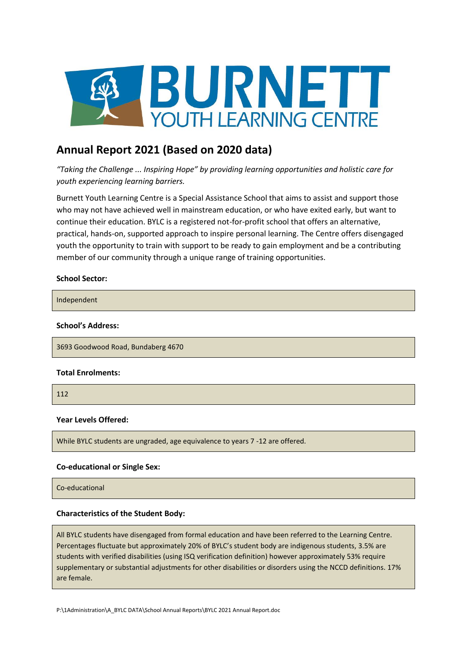

# **Annual Report 2021 (Based on 2020 data)**

*"Taking the Challenge ... Inspiring Hope" by providing learning opportunities and holistic care for youth experiencing learning barriers.*

Burnett Youth Learning Centre is a Special Assistance School that aims to assist and support those who may not have achieved well in mainstream education, or who have exited early, but want to continue their education. BYLC is a registered not-for-profit school that offers an alternative, practical, hands-on, supported approach to inspire personal learning. The Centre offers disengaged youth the opportunity to train with support to be ready to gain employment and be a contributing member of our community through a unique range of training opportunities.

#### **School Sector:**

Independent

#### **School's Address:**

3693 Goodwood Road, Bundaberg 4670

#### **Total Enrolments:**

112

#### **Year Levels Offered:**

While BYLC students are ungraded, age equivalence to years 7 -12 are offered.

### **Co-educational or Single Sex:**

Co-educational

#### **Characteristics of the Student Body:**

All BYLC students have disengaged from formal education and have been referred to the Learning Centre. Percentages fluctuate but approximately 20% of BYLC's student body are indigenous students, 3.5% are students with verified disabilities (using ISQ verification definition) however approximately 53% require supplementary or substantial adjustments for other disabilities or disorders using the NCCD definitions. 17% are female.

P:\1Administration\A\_BYLC DATA\School Annual Reports\BYLC 2021 Annual Report.doc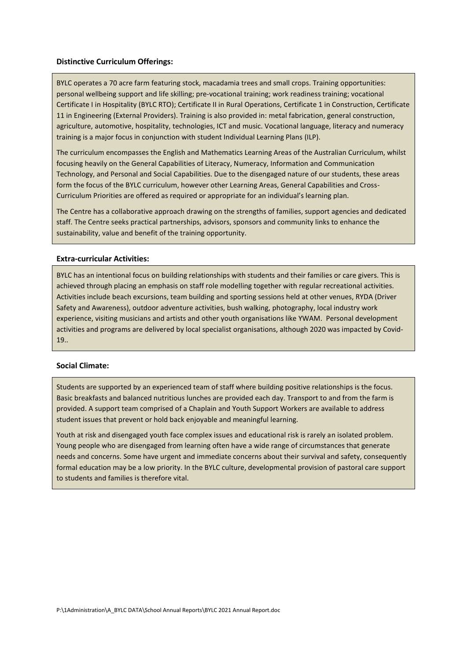#### **Distinctive Curriculum Offerings:**

BYLC operates a 70 acre farm featuring stock, macadamia trees and small crops. Training opportunities: personal wellbeing support and life skilling; pre-vocational training; work readiness training; vocational Certificate I in Hospitality (BYLC RTO); Certificate II in Rural Operations, Certificate 1 in Construction, Certificate 11 in Engineering (External Providers). Training is also provided in: metal fabrication, general construction, agriculture, automotive, hospitality, technologies, ICT and music. Vocational language, literacy and numeracy training is a major focus in conjunction with student Individual Learning Plans (ILP).

The curriculum encompasses the English and Mathematics Learning Areas of the Australian Curriculum, whilst focusing heavily on the General Capabilities of Literacy, Numeracy, Information and Communication Technology, and Personal and Social Capabilities. Due to the disengaged nature of our students, these areas form the focus of the BYLC curriculum, however other Learning Areas, General Capabilities and Cross-Curriculum Priorities are offered as required or appropriate for an individual's learning plan.

The Centre has a collaborative approach drawing on the strengths of families, support agencies and dedicated staff. The Centre seeks practical partnerships, advisors, sponsors and community links to enhance the sustainability, value and benefit of the training opportunity.

### **Extra-curricular Activities:**

BYLC has an intentional focus on building relationships with students and their families or care givers. This is achieved through placing an emphasis on staff role modelling together with regular recreational activities. Activities include beach excursions, team building and sporting sessions held at other venues, RYDA (Driver Safety and Awareness), outdoor adventure activities, bush walking, photography, local industry work experience, visiting musicians and artists and other youth organisations like YWAM. Personal development activities and programs are delivered by local specialist organisations, although 2020 was impacted by Covid-19..

### **Social Climate:**

Students are supported by an experienced team of staff where building positive relationships is the focus. Basic breakfasts and balanced nutritious lunches are provided each day. Transport to and from the farm is provided. A support team comprised of a Chaplain and Youth Support Workers are available to address student issues that prevent or hold back enjoyable and meaningful learning.

Youth at risk and disengaged youth face complex issues and educational risk is rarely an isolated problem. Young people who are disengaged from learning often have a wide range of circumstances that generate needs and concerns. Some have urgent and immediate concerns about their survival and safety, consequently formal education may be a low priority. In the BYLC culture, developmental provision of pastoral care support to students and families is therefore vital.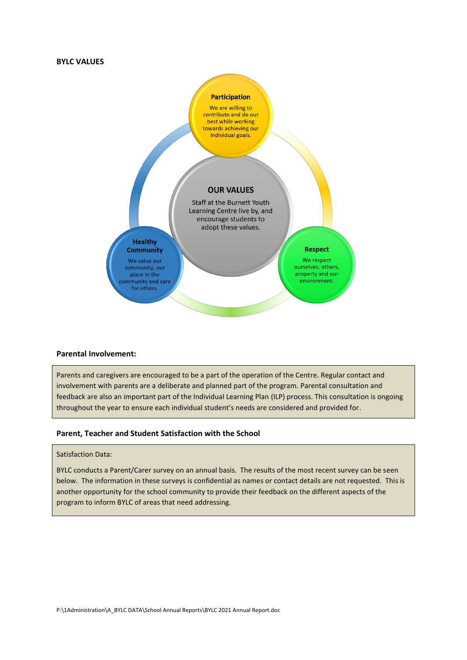#### **BYLC VALUES**



#### **Parental Involvement:**

Parents and caregivers are encouraged to be a part of the operation of the Centre. Regular contact and involvement with parents are a deliberate and planned part of the program. Parental consultation and feedback are also an important part of the Individual Learning Plan (ILP) process. This consultation is ongoing throughout the year to ensure each individual student's needs are considered and provided for.

#### **Parent, Teacher and Student Satisfaction with the School**

#### Satisfaction Data:

BYLC conducts a Parent/Carer survey on an annual basis. The results of the most recent survey can be seen below. The information in these surveys is confidential as names or contact details are not requested. This is another opportunity for the school community to provide their feedback on the different aspects of the program to inform BYLC of areas that need addressing.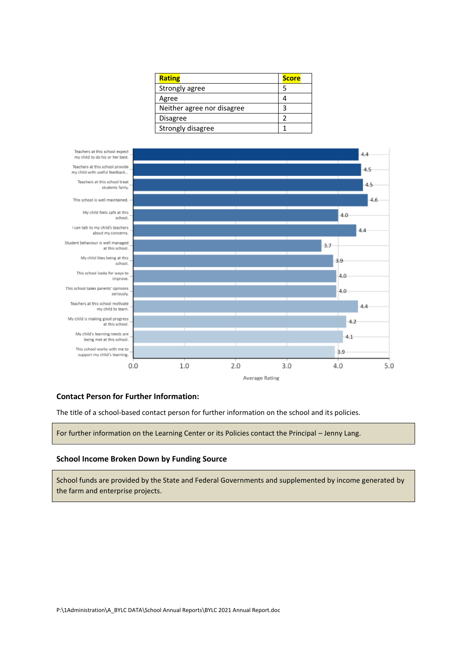| <b>Rating</b>              | <b>Score</b> |
|----------------------------|--------------|
| Strongly agree             | 5            |
| Agree                      |              |
| Neither agree nor disagree | ς            |
| <b>Disagree</b>            |              |
| Strongly disagree          |              |



#### **Contact Person for Further Information:**

The title of a school-based contact person for further information on the school and its policies.

For further information on the Learning Center or its Policies contact the Principal – Jenny Lang.

### **School Income Broken Down by Funding Source**

School funds are provided by the State and Federal Governments and supplemented by income generated by the farm and enterprise projects.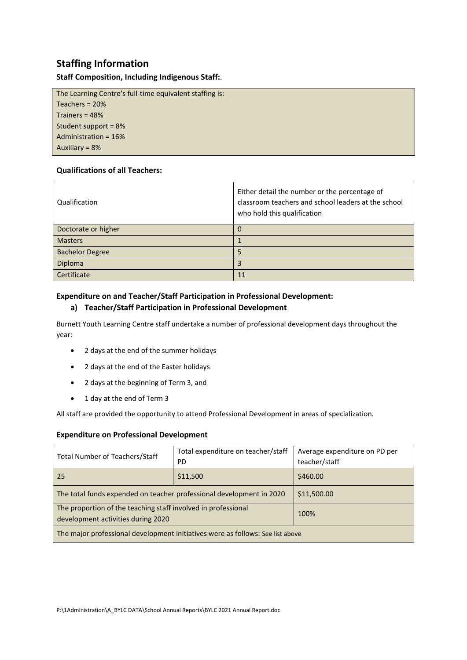# **Staffing Information**

# **Staff Composition, Including Indigenous Staff:**.

The Learning Centre's full-time equivalent staffing is: Teachers = 20% Trainers = 48% Student support = 8% Administration = 16% Auxiliary = 8%

# **Qualifications of all Teachers:**

| Qualification          | Either detail the number or the percentage of<br>classroom teachers and school leaders at the school<br>who hold this qualification |
|------------------------|-------------------------------------------------------------------------------------------------------------------------------------|
| Doctorate or higher    | 0                                                                                                                                   |
| <b>Masters</b>         |                                                                                                                                     |
| <b>Bachelor Degree</b> | 5                                                                                                                                   |
| Diploma                | 3                                                                                                                                   |
| Certificate            | 11                                                                                                                                  |

# **Expenditure on and Teacher/Staff Participation in Professional Development:**

# **a) Teacher/Staff Participation in Professional Development**

Burnett Youth Learning Centre staff undertake a number of professional development days throughout the year:

- 2 days at the end of the summer holidays
- 2 days at the end of the Easter holidays
- 2 days at the beginning of Term 3, and
- 1 day at the end of Term 3

All staff are provided the opportunity to attend Professional Development in areas of specialization.

# **Expenditure on Professional Development**

| <b>Total Number of Teachers/Staff</b>                                          | Total expenditure on teacher/staff | Average expenditure on PD per |  |
|--------------------------------------------------------------------------------|------------------------------------|-------------------------------|--|
|                                                                                | <b>PD</b>                          | teacher/staff                 |  |
| 25                                                                             | \$11,500                           | \$460.00                      |  |
| The total funds expended on teacher professional development in 2020           |                                    | \$11,500.00                   |  |
| The proportion of the teaching staff involved in professional                  |                                    | 100%                          |  |
| development activities during 2020                                             |                                    |                               |  |
| The major professional development initiatives were as follows: See list above |                                    |                               |  |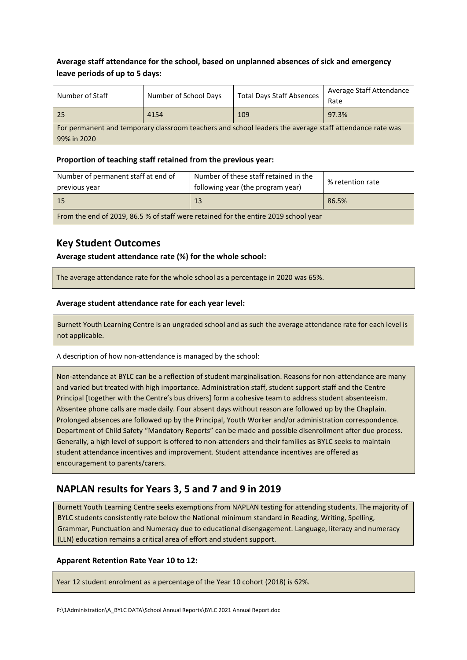# **Average staff attendance for the school, based on unplanned absences of sick and emergency leave periods of up to 5 days:**

| Number of Staff                                                                                         | Number of School Days | <b>Total Days Staff Absences</b> | Average Staff Attendance |
|---------------------------------------------------------------------------------------------------------|-----------------------|----------------------------------|--------------------------|
|                                                                                                         |                       |                                  | Rate                     |
| 25                                                                                                      | 4154                  | 109                              | 97.3%                    |
| For permanent and temporary classroom teachers and school leaders the average staff attendance rate was |                       |                                  |                          |
| 99% in 2020                                                                                             |                       |                                  |                          |

# **Proportion of teaching staff retained from the previous year:**

| Number of permanent staff at end of<br>previous year                                | Number of these staff retained in the<br>following year (the program year) | % retention rate |
|-------------------------------------------------------------------------------------|----------------------------------------------------------------------------|------------------|
| - 15                                                                                | 13                                                                         | 86.5%            |
| From the end of 2019, 86.5 % of staff were retained for the entire 2019 school year |                                                                            |                  |

# **Key Student Outcomes**

**Average student attendance rate (%) for the whole school:** 

The average attendance rate for the whole school as a percentage in 2020 was 65%.

# **Average student attendance rate for each year level:**

Burnett Youth Learning Centre is an ungraded school and as such the average attendance rate for each level is not applicable.

A description of how non-attendance is managed by the school:

Non-attendance at BYLC can be a reflection of student marginalisation. Reasons for non-attendance are many and varied but treated with high importance. Administration staff, student support staff and the Centre Principal [together with the Centre's bus drivers] form a cohesive team to address student absenteeism. Absentee phone calls are made daily. Four absent days without reason are followed up by the Chaplain. Prolonged absences are followed up by the Principal, Youth Worker and/or administration correspondence. Department of Child Safety "Mandatory Reports" can be made and possible disenrollment after due process. Generally, a high level of support is offered to non-attenders and their families as BYLC seeks to maintain student attendance incentives and improvement. Student attendance incentives are offered as encouragement to parents/carers.

# **NAPLAN results for Years 3, 5 and 7 and 9 in 2019**

Burnett Youth Learning Centre seeks exemptions from NAPLAN testing for attending students. The majority of BYLC students consistently rate below the National minimum standard in Reading, Writing, Spelling, Grammar, Punctuation and Numeracy due to educational disengagement. Language, literacy and numeracy (LLN) education remains a critical area of effort and student support.

# **Apparent Retention Rate Year 10 to 12:**

Year 12 student enrolment as a percentage of the Year 10 cohort (2018) is 62%.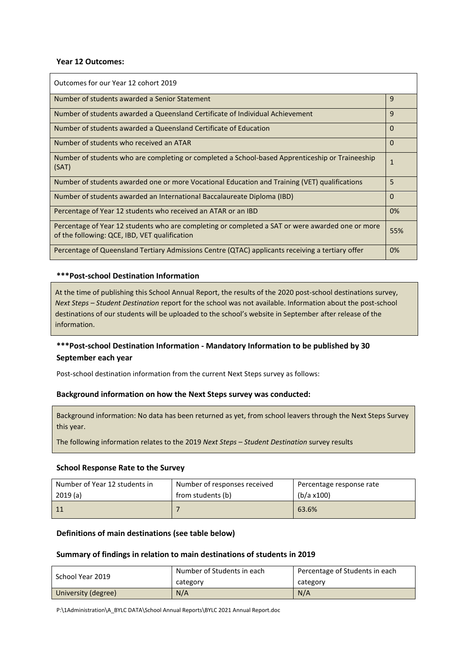#### **Year 12 Outcomes:**

| Outcomes for our Year 12 cohort 2019                                                                                                              |              |
|---------------------------------------------------------------------------------------------------------------------------------------------------|--------------|
| Number of students awarded a Senior Statement                                                                                                     | $\mathbf{q}$ |
| Number of students awarded a Queensland Certificate of Individual Achievement                                                                     | 9            |
| Number of students awarded a Queensland Certificate of Education                                                                                  | $\Omega$     |
| Number of students who received an ATAR                                                                                                           | $\Omega$     |
| Number of students who are completing or completed a School-based Apprenticeship or Traineeship<br>(SAT)                                          | $\mathbf{1}$ |
| Number of students awarded one or more Vocational Education and Training (VET) qualifications                                                     | 5            |
| Number of students awarded an International Baccalaureate Diploma (IBD)                                                                           | $\Omega$     |
| Percentage of Year 12 students who received an ATAR or an IBD                                                                                     | 0%           |
| Percentage of Year 12 students who are completing or completed a SAT or were awarded one or more<br>of the following: QCE, IBD, VET qualification | 55%          |
| Percentage of Queensland Tertiary Admissions Centre (QTAC) applicants receiving a tertiary offer                                                  | 0%           |

# **\*\*\*Post-school Destination Information**

At the time of publishing this School Annual Report, the results of the 2020 post-school destinations survey, *Next Steps – Student Destination* report for the school was not available. Information about the post-school destinations of our students will be uploaded to the school's website in September after release of the information.

# **\*\*\*Post-school Destination Information - Mandatory Information to be published by 30 September each year**

Post-school destination information from the current Next Steps survey as follows:

# **Background information on how the Next Steps survey was conducted:**

Background information: No data has been returned as yet, from school leavers through the Next Steps Survey this year.

The following information relates to the 2019 *Next Steps – Student Destination* survey results

#### **School Response Rate to the Survey**

| Number of Year 12 students in | Number of responses received | Percentage response rate |
|-------------------------------|------------------------------|--------------------------|
| 2019(a)                       | from students (b)            | (b/a x100)               |
|                               |                              | 63.6%                    |

# **Definitions of main destinations (see table below)**

#### **Summary of findings in relation to main destinations of students in 2019**

| School Year 2019    | Number of Students in each | Percentage of Students in each |
|---------------------|----------------------------|--------------------------------|
|                     | category                   | category                       |
| University (degree) | N/A                        | N/A                            |

P:\1Administration\A\_BYLC DATA\School Annual Reports\BYLC 2021 Annual Report.doc